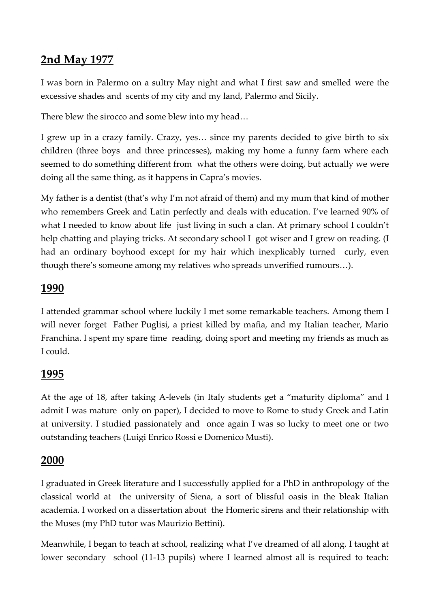## **2nd May 1977**

I was born in Palermo on a sultry May night and what I first saw and smelled were the excessive shades and scents of my city and my land, Palermo and Sicily.

There blew the sirocco and some blew into my head…

I grew up in a crazy family. Crazy, yes… since my parents decided to give birth to six children (three boys and three princesses), making my home a funny farm where each seemed to do something different from what the others were doing, but actually we were doing all the same thing, as it happens in Capra's movies.

My father is a dentist (that's why I'm not afraid of them) and my mum that kind of mother who remembers Greek and Latin perfectly and deals with education. I've learned 90% of what I needed to know about life just living in such a clan. At primary school I couldn't help chatting and playing tricks. At secondary school I got wiser and I grew on reading. (I had an ordinary boyhood except for my hair which inexplicably turned curly, even though there's someone among my relatives who spreads unverified rumours…).

#### **1990**

I attended grammar school where luckily I met some remarkable teachers. Among them I will never forget Father Puglisi, a priest killed by mafia, and my Italian teacher, Mario Franchina. I spent my spare time reading, doing sport and meeting my friends as much as I could.

#### **1995**

At the age of 18, after taking A-levels (in Italy students get a "maturity diploma" and I admit I was mature only on paper), I decided to move to Rome to study Greek and Latin at university. I studied passionately and once again I was so lucky to meet one or two outstanding teachers (Luigi Enrico Rossi e Domenico Musti).

#### **2000**

I graduated in Greek literature and I successfully applied for a PhD in anthropology of the classical world at the university of Siena, a sort of blissful oasis in the bleak Italian academia. I worked on a dissertation about the Homeric sirens and their relationship with the Muses (my PhD tutor was Maurizio Bettini).

Meanwhile, I began to teach at school, realizing what I've dreamed of all along. I taught at lower secondary school (11-13 pupils) where I learned almost all is required to teach: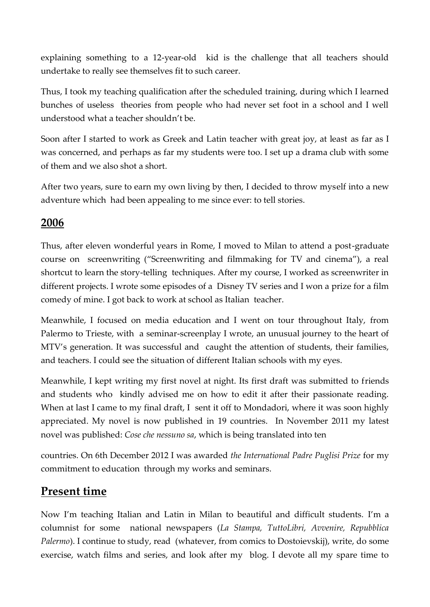explaining something to a 12-year-old kid is the challenge that all teachers should undertake to really see themselves fit to such career.

Thus, I took my teaching qualification after the scheduled training, during which I learned bunches of useless theories from people who had never set foot in a school and I well understood what a teacher shouldn't be.

Soon after I started to work as Greek and Latin teacher with great joy, at least as far as I was concerned, and perhaps as far my students were too. I set up a drama club with some of them and we also shot a short.

After two years, sure to earn my own living by then, I decided to throw myself into a new adventure which had been appealing to me since ever: to tell stories.

### **2006**

Thus, after eleven wonderful years in Rome, I moved to Milan to attend a post-graduate course on screenwriting ("Screenwriting and filmmaking for TV and cinema"), a real shortcut to learn the story-telling techniques. After my course, I worked as screenwriter in different projects. I wrote some episodes of a Disney TV series and I won a prize for a film comedy of mine. I got back to work at school as Italian teacher.

Meanwhile, I focused on media education and I went on tour throughout Italy, from Palermo to Trieste, with a seminar-screenplay I wrote, an unusual journey to the heart of MTV's generation. It was successful and caught the attention of students, their families, and teachers. I could see the situation of different Italian schools with my eyes.

Meanwhile, I kept writing my first novel at night. Its first draft was submitted to friends and students who kindly advised me on how to edit it after their passionate reading. When at last I came to my final draft, I sent it off to Mondadori, where it was soon highly appreciated. My novel is now published in 19 countries. In November 2011 my latest novel was published: *Cose che nessuno sa*, which is being translated into ten

countries. On 6th December 2012 I was awarded *the International Padre Puglisi Prize* for my commitment to education through my works and seminars.

# **Present time**

Now I'm teaching Italian and Latin in Milan to beautiful and difficult students. I'm a columnist for some national newspapers (*La Stampa, TuttoLibri, Avvenire, Repubblica Palermo*). I continue to study, read (whatever, from comics to Dostoievskij), write, do some exercise, watch films and series, and look after my blog. I devote all my spare time to